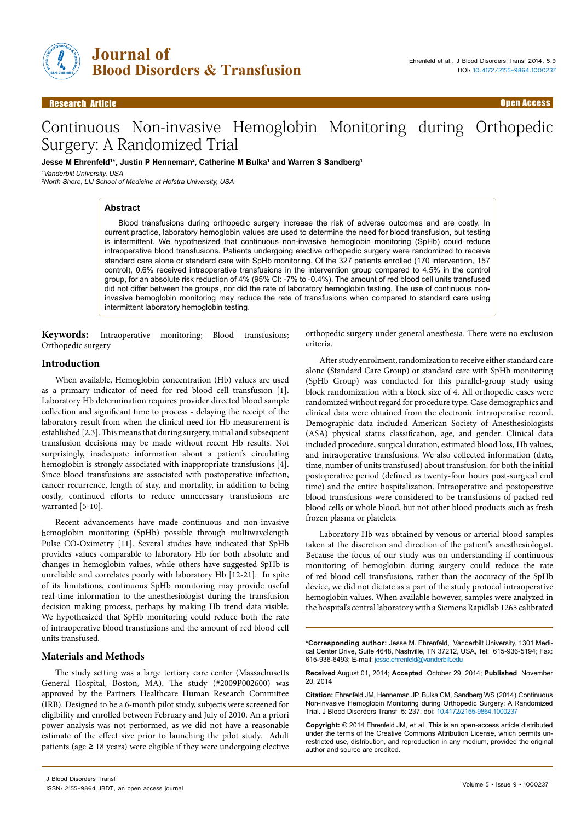

Research Article

Open Access Open Access

# Continuous Non-invasive Hemoglobin Monitoring during Orthopedic Surgery: A Randomized Trial

Jesse M Ehrenfeld<sup>1</sup>\*, Justin P Henneman<sup>2</sup>, Catherine M Bulka<sup>1</sup> and Warren S Sandberg<sup>1</sup>

<sup>1</sup>Vanderbilt University, USA

<sup>2</sup>North Shore, LIJ School of Medicine at Hofstra University, USA

# **Abstract**

Blood transfusions during orthopedic surgery increase the risk of adverse outcomes and are costly. In current practice, laboratory hemoglobin values are used to determine the need for blood transfusion, but testing is intermittent. We hypothesized that continuous non-invasive hemoglobin monitoring (SpHb) could reduce intraoperative blood transfusions. Patients undergoing elective orthopedic surgery were randomized to receive standard care alone or standard care with SpHb monitoring. Of the 327 patients enrolled (170 intervention, 157 control), 0.6% received intraoperative transfusions in the intervention group compared to 4.5% in the control group, for an absolute risk reduction of 4% (95% CI: -7% to -0.4%). The amount of red blood cell units transfused did not differ between the groups, nor did the rate of laboratory hemoglobin testing. The use of continuous noninvasive hemoglobin monitoring may reduce the rate of transfusions when compared to standard care using intermittent laboratory hemoglobin testing.

**Keywords:** Intraoperative monitoring; Blood transfusions; Orthopedic surgery

#### **Introduction**

When available, Hemoglobin concentration (Hb) values are used as a primary indicator of need for red blood cell transfusion [1]. Laboratory Hb determination requires provider directed blood sample collection and significant time to process - delaying the receipt of the laboratory result from when the clinical need for Hb measurement is established [2,3]. This means that during surgery, initial and subsequent transfusion decisions may be made without recent Hb results. Not surprisingly, inadequate information about a patient's circulating hemoglobin is strongly associated with inappropriate transfusions [4]. Since blood transfusions are associated with postoperative infection, cancer recurrence, length of stay, and mortality, in addition to being costly, continued efforts to reduce unnecessary transfusions are warranted [5-10].

Recent advancements have made continuous and non-invasive hemoglobin monitoring (SpHb) possible through multiwavelength Pulse CO-Oximetry [11]. Several studies have indicated that SpHb provides values comparable to laboratory Hb for both absolute and changes in hemoglobin values, while others have suggested SpHb is unreliable and correlates poorly with laboratory Hb [12-21]. In spite of its limitations, continuous SpHb monitoring may provide useful real-time information to the anesthesiologist during the transfusion decision making process, perhaps by making Hb trend data visible. We hypothesized that SpHb monitoring could reduce both the rate of intraoperative blood transfusions and the amount of red blood cell units transfused.

### **Materials and Methods**

The study setting was a large tertiary care center (Massachusetts General Hospital, Boston, MA). The study (#2009P002600) was approved by the Partners Healthcare Human Research Committee (IRB). Designed to be a 6-month pilot study, subjects were screened for eligibility and enrolled between February and July of 2010. An a priori power analysis was not performed, as we did not have a reasonable estimate of the effect size prior to launching the pilot study. Adult patients (age ≥ 18 years) were eligible if they were undergoing elective

orthopedic surgery under general anesthesia. There were no exclusion criteria.

After study enrolment, randomization to receive either standard care alone (Standard Care Group) or standard care with SpHb monitoring (SpHb Group) was conducted for this parallel-group study using block randomization with a block size of 4. All orthopedic cases were randomized without regard for procedure type. Case demographics and clinical data were obtained from the electronic intraoperative record. Demographic data included American Society of Anesthesiologists (ASA) physical status classification, age, and gender. Clinical data included procedure, surgical duration, estimated blood loss, Hb values, and intraoperative transfusions. We also collected information (date, time, number of units transfused) about transfusion, for both the initial postoperative period (defined as twenty-four hours post-surgical end time) and the entire hospitalization. Intraoperative and postoperative blood transfusions were considered to be transfusions of packed red blood cells or whole blood, but not other blood products such as fresh frozen plasma or platelets.

Laboratory Hb was obtained by venous or arterial blood samples taken at the discretion and direction of the patient's anesthesiologist. Because the focus of our study was on understanding if continuous monitoring of hemoglobin during surgery could reduce the rate of red blood cell transfusions, rather than the accuracy of the SpHb device, we did not dictate as a part of the study protocol intraoperative hemoglobin values. When available however, samples were analyzed in the hospital's central laboratory with a Siemens Rapidlab 1265 calibrated

**\*Corresponding author:** Jesse M. Ehrenfeld, Vanderbilt University, 1301 Medical Center Drive, Suite 4648, Nashville, TN 37212, USA, Tel: 615-936-5194; Fax: 615-936-6493; E-mail: jesse.ehrenfeld@vanderbilt.edu

**Received** August 01, 2014; **Accepted** October 29, 2014; **Published** November 20, 2014

**Citation:** Ehrenfeld JM, Henneman JP, Bulka CM, Sandberg WS (2014) Continuous Non-invasive Hemoglobin Monitoring during Orthopedic Surgery: A Randomized Trial. J Blood Disorders Transf 5: 237. doi: 10.4172/2155-9864.1000237

**Copyright:** © 2014 Ehrenfeld JM, et al. This is an open-access article distributed under the terms of the Creative Commons Attribution License, which permits unrestricted use, distribution, and reproduction in any medium, provided the original author and source are credited.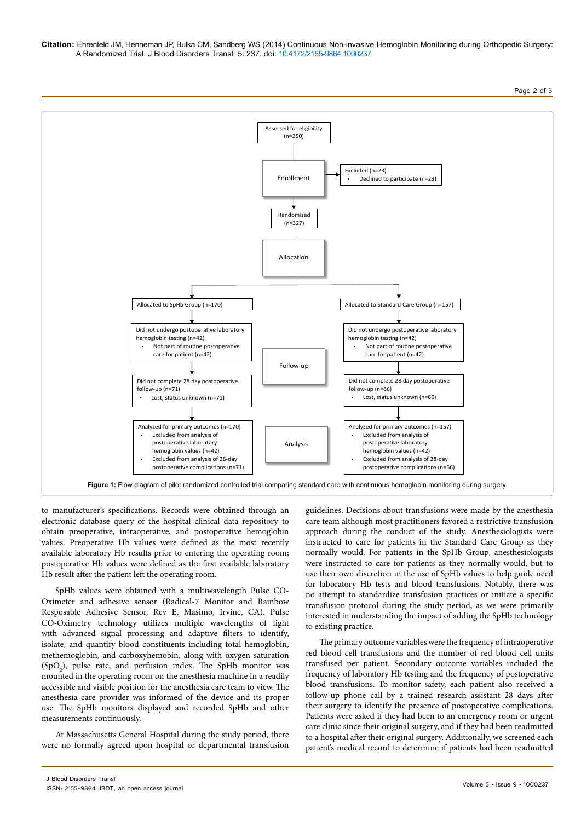**Citation:** Ehrenfeld JM, Henneman JP, Bulka CM, Sandberg WS (2014) Continuous Non-invasive Hemoglobin Monitoring during Orthopedic Surgery: A Randomized Trial. J Blood Disorders Transf 5: 237. doi: 10.4172/2155-9864.1000237

Page 2 of 5



to manufacturer's specifications. Records were obtained through an electronic database query of the hospital clinical data repository to obtain preoperative, intraoperative, and postoperative hemoglobin values. Preoperative Hb values were defined as the most recently available laboratory Hb results prior to entering the operating room; postoperative Hb values were defined as the first available laboratory Hb result after the patient left the operating room.

SpHb values were obtained with a multiwavelength Pulse CO-Oximeter and adhesive sensor (Radical-7 Monitor and Rainbow Resposable Adhesive Sensor, Rev E, Masimo, Irvine, CA). Pulse CO-Oximetry technology utilizes multiple wavelengths of light with advanced signal processing and adaptive filters to identify, isolate, and quantify blood constituents including total hemoglobin, methemoglobin, and carboxyhemobin, along with oxygen saturation  $(SpO<sub>2</sub>)$ , pulse rate, and perfusion index. The SpHb monitor was mounted in the operating room on the anesthesia machine in a readily accessible and visible position for the anesthesia care team to view. The anesthesia care provider was informed of the device and its proper use. The SpHb monitors displayed and recorded SpHb and other measurements continuously.

At Massachusetts General Hospital during the study period, there were no formally agreed upon hospital or departmental transfusion

guidelines. Decisions about transfusions were made by the anesthesia care team although most practitioners favored a restrictive transfusion approach during the conduct of the study. Anesthesiologists were instructed to care for patients in the Standard Care Group as they normally would. For patients in the SpHb Group, anesthesiologists were instructed to care for patients as they normally would, but to use their own discretion in the use of SpHb values to help guide need for laboratory Hb tests and blood transfusions. Notably, there was no attempt to standardize transfusion practices or initiate a specific transfusion protocol during the study period, as we were primarily interested in understanding the impact of adding the SpHb technology to existing practice.

The primary outcome variables were the frequency of intraoperative red blood cell transfusions and the number of red blood cell units transfused per patient. Secondary outcome variables included the frequency of laboratory Hb testing and the frequency of postoperative blood transfusions. To monitor safety, each patient also received a follow-up phone call by a trained research assistant 28 days after their surgery to identify the presence of postoperative complications. Patients were asked if they had been to an emergency room or urgent care clinic since their original surgery, and if they had been readmitted to a hospital after their original surgery. Additionally, we screened each patient's medical record to determine if patients had been readmitted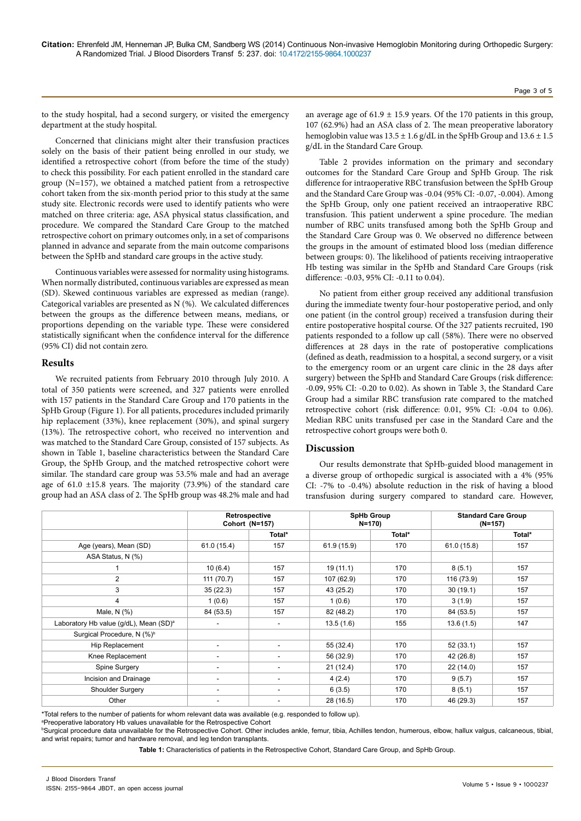to the study hospital, had a second surgery, or visited the emergency department at the study hospital.

Concerned that clinicians might alter their transfusion practices solely on the basis of their patient being enrolled in our study, we identified a retrospective cohort (from before the time of the study) to check this possibility. For each patient enrolled in the standard care group (N=157), we obtained a matched patient from a retrospective cohort taken from the six-month period prior to this study at the same study site. Electronic records were used to identify patients who were matched on three criteria: age, ASA physical status classification, and procedure. We compared the Standard Care Group to the matched retrospective cohort on primary outcomes only, in a set of comparisons planned in advance and separate from the main outcome comparisons between the SpHb and standard care groups in the active study.

Continuous variables were assessed for normality using histograms. When normally distributed, continuous variables are expressed as mean (SD). Skewed continuous variables are expressed as median (range). Categorical variables are presented as N (%). We calculated differences between the groups as the difference between means, medians, or proportions depending on the variable type. These were considered statistically significant when the confidence interval for the difference (95% CI) did not contain zero.

### **Results**

We recruited patients from February 2010 through July 2010. A total of 350 patients were screened, and 327 patients were enrolled with 157 patients in the Standard Care Group and 170 patients in the SpHb Group (Figure 1). For all patients, procedures included primarily hip replacement (33%), knee replacement (30%), and spinal surgery (13%). The retrospective cohort, who received no intervention and was matched to the Standard Care Group, consisted of 157 subjects. As shown in Table 1, baseline characteristics between the Standard Care Group, the SpHb Group, and the matched retrospective cohort were similar. The standard care group was 53.5% male and had an average age of 61.0 ±15.8 years. The majority (73.9%) of the standard care group had an ASA class of 2. The SpHb group was 48.2% male and had

an average age of  $61.9 \pm 15.9$  years. Of the 170 patients in this group, 107 (62.9%) had an ASA class of 2. The mean preoperative laboratory hemoglobin value was 13.5  $\pm$  1.6 g/dL in the SpHb Group and 13.6  $\pm$  1.5 g/dL in the Standard Care Group.

Table 2 provides information on the primary and secondary outcomes for the Standard Care Group and SpHb Group. The risk difference for intraoperative RBC transfusion between the SpHb Group and the Standard Care Group was -0.04 (95% CI: -0.07, -0.004). Among the SpHb Group, only one patient received an intraoperative RBC transfusion. This patient underwent a spine procedure. The median number of RBC units transfused among both the SpHb Group and the Standard Care Group was 0. We observed no difference between the groups in the amount of estimated blood loss (median difference between groups: 0). The likelihood of patients receiving intraoperative Hb testing was similar in the SpHb and Standard Care Groups (risk difference: -0.03, 95% CI: -0.11 to 0.04).

No patient from either group received any additional transfusion during the immediate twenty four-hour postoperative period, and only one patient (in the control group) received a transfusion during their entire postoperative hospital course. Of the 327 patients recruited, 190 patients responded to a follow up call (58%). There were no observed differences at 28 days in the rate of postoperative complications (defined as death, readmission to a hospital, a second surgery, or a visit to the emergency room or an urgent care clinic in the 28 days after surgery) between the SpHb and Standard Care Groups (risk difference: -0.09, 95% CI: -0.20 to 0.02). As shown in Table 3, the Standard Care Group had a similar RBC transfusion rate compared to the matched retrospective cohort (risk difference: 0.01, 95% CI: -0.04 to 0.06). Median RBC units transfused per case in the Standard Care and the retrospective cohort groups were both 0.

### **Discussion**

Our results demonstrate that SpHb-guided blood management in a diverse group of orthopedic surgical is associated with a 4% (95% CI: -7% to -0.4%) absolute reduction in the risk of having a blood transfusion during surgery compared to standard care. However,

|                                                    | Retrospective<br>Cohort (N=157) |                          | <b>SpHb Group</b><br>$N = 170$ |        | <b>Standard Care Group</b><br>$(N=157)$ |        |
|----------------------------------------------------|---------------------------------|--------------------------|--------------------------------|--------|-----------------------------------------|--------|
|                                                    |                                 | Total*                   |                                | Total* |                                         | Total* |
| Age (years), Mean (SD)                             | 61.0(15.4)                      | 157                      | 61.9 (15.9)                    | 170    | 61.0(15.8)                              | 157    |
| ASA Status, N (%)                                  |                                 |                          |                                |        |                                         |        |
|                                                    | 10(6.4)                         | 157                      | 19(11.1)                       | 170    | 8(5.1)                                  | 157    |
| $\overline{2}$                                     | 111 (70.7)                      | 157                      | 107 (62.9)                     | 170    | 116 (73.9)                              | 157    |
| 3                                                  | 35(22.3)                        | 157                      | 43 (25.2)                      | 170    | 30(19.1)                                | 157    |
| 4                                                  | 1(0.6)                          | 157                      | 1(0.6)                         | 170    | 3(1.9)                                  | 157    |
| Male, N (%)                                        | 84 (53.5)                       | 157                      | 82 (48.2)                      | 170    | 84 (53.5)                               | 157    |
| Laboratory Hb value (g/dL), Mean (SD) <sup>a</sup> |                                 | $\overline{\phantom{a}}$ | 13.5(1.6)                      | 155    | 13.6(1.5)                               | 147    |
| Surgical Procedure, N (%) <sup>b</sup>             |                                 |                          |                                |        |                                         |        |
| Hip Replacement                                    |                                 | $\blacksquare$           | 55 (32.4)                      | 170    | 52(33.1)                                | 157    |
| Knee Replacement                                   |                                 | $\overline{\phantom{a}}$ | 56 (32.9)                      | 170    | 42 (26.8)                               | 157    |
| Spine Surgery                                      |                                 | $\overline{\phantom{a}}$ | 21(12.4)                       | 170    | 22 (14.0)                               | 157    |
| Incision and Drainage                              |                                 | $\overline{\phantom{a}}$ | 4(2.4)                         | 170    | 9(5.7)                                  | 157    |
| <b>Shoulder Surgery</b>                            |                                 | ۰                        | 6(3.5)                         | 170    | 8(5.1)                                  | 157    |
| Other                                              |                                 | $\overline{\phantom{a}}$ | 28 (16.5)                      | 170    | 46 (29.3)                               | 157    |

\*Total refers to the number of patients for whom relevant data was available (e.g. responded to follow up).

a Preoperative laboratory Hb values unavailable for the Retrospective Cohort

b Surgical procedure data unavailable for the Retrospective Cohort. Other includes ankle, femur, tibia, Achilles tendon, humerous, elbow, hallux valgus, calcaneous, tibial, and wrist repairs; tumor and hardware removal, and leg tendon transplants.

**Table 1:** Characteristics of patients in the Retrospective Cohort, Standard Care Group, and SpHb Group.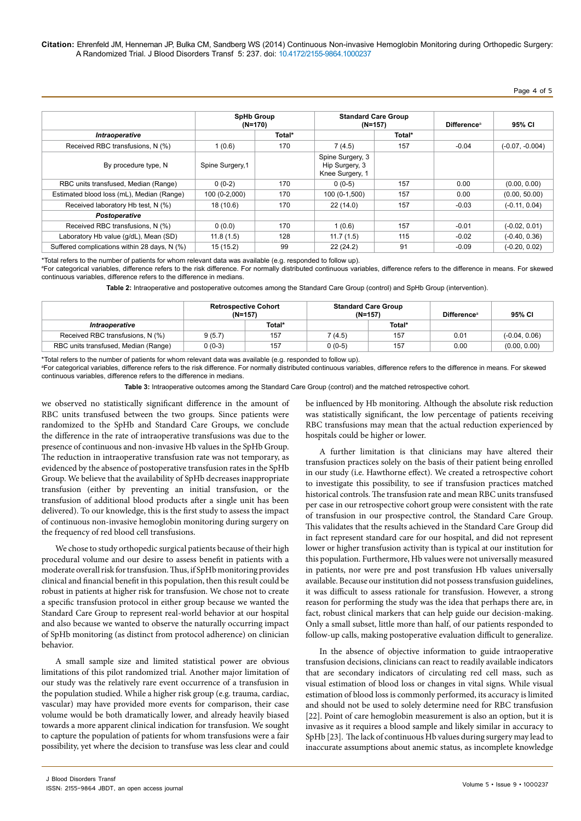## Page 4 of 5

|                                              | <b>SpHb Group</b><br>(N=170) |        | <b>Standard Care Group</b><br>$(N=157)$               |        | <b>Difference</b> <sup>a</sup> | 95% CI            |
|----------------------------------------------|------------------------------|--------|-------------------------------------------------------|--------|--------------------------------|-------------------|
| Intraoperative                               |                              | Total* |                                                       | Total* |                                |                   |
| Received RBC transfusions, N (%)             | 1(0.6)                       | 170    | 7(4.5)                                                | 157    | $-0.04$                        | $(-0.07, -0.004)$ |
| By procedure type, N                         | Spine Surgery, 1             |        | Spine Surgery, 3<br>Hip Surgery, 3<br>Knee Surgery, 1 |        |                                |                   |
| RBC units transfused, Median (Range)         | $0(0-2)$                     | 170    | $0(0-5)$                                              | 157    | 0.00                           | (0.00, 0.00)      |
| Estimated blood loss (mL), Median (Range)    | $100(0-2,000)$               | 170    | 100 (0-1,500)                                         | 157    | 0.00                           | (0.00, 50.00)     |
| Received laboratory Hb test, N (%)           | 18 (10.6)                    | 170    | 22(14.0)                                              | 157    | $-0.03$                        | $(-0.11, 0.04)$   |
| Postoperative                                |                              |        |                                                       |        |                                |                   |
| Received RBC transfusions, N (%)             | 0(0.0)                       | 170    | 1(0.6)                                                | 157    | $-0.01$                        | $(-0.02, 0.01)$   |
| Laboratory Hb value (q/dL), Mean (SD)        | 11.8(1.5)                    | 128    | 11.7(1.5)                                             | 115    | $-0.02$                        | $(-0.40, 0.36)$   |
| Suffered complications within 28 days, N (%) | 15(15.2)                     | 99     | 22(24.2)                                              | 91     | $-0.09$                        | $(-0.20, 0.02)$   |

\*Total refers to the number of patients for whom relevant data was available (e.g. responded to follow up).

a For categorical variables, difference refers to the risk difference. For normally distributed continuous variables, difference refers to the difference in means. For skewed continuous variables, difference refers to the difference in medians.

**Table 2:** Intraoperative and postoperative outcomes among the Standard Care Group (control) and SpHb Group (intervention).

|                                      | <b>Retrospective Cohort</b><br>$(N=157)$ |        | <b>Standard Care Group</b><br>$(N=157)$ |        | Difference <sup>a</sup> | 95% CI          |
|--------------------------------------|------------------------------------------|--------|-----------------------------------------|--------|-------------------------|-----------------|
| Intraoperative                       |                                          | Total* |                                         | Total* |                         |                 |
| Received RBC transfusions, N (%)     | 9(5.7)                                   | 157    | 7(4.5)                                  | 157    | 0.01                    | $(-0.04, 0.06)$ |
| RBC units transfused, Median (Range) | $0(0-3)$                                 | 157    | $0(0-5)$                                | 157    | 0.00                    | (0.00, 0.00)    |

\*Total refers to the number of patients for whom relevant data was available (e.g. responded to follow up).

a For categorical variables, difference refers to the risk difference. For normally distributed continuous variables, difference refers to the difference in means. For skewed continuous variables, difference refers to the difference in medians.

**Table 3:** Intraoperative outcomes among the Standard Care Group (control) and the matched retrospective cohort.

we observed no statistically significant difference in the amount of RBC units transfused between the two groups. Since patients were randomized to the SpHb and Standard Care Groups, we conclude the difference in the rate of intraoperative transfusions was due to the presence of continuous and non-invasive Hb values in the SpHb Group. The reduction in intraoperative transfusion rate was not temporary, as evidenced by the absence of postoperative transfusion rates in the SpHb Group. We believe that the availability of SpHb decreases inappropriate transfusion (either by preventing an initial transfusion, or the transfusion of additional blood products after a single unit has been delivered). To our knowledge, this is the first study to assess the impact of continuous non-invasive hemoglobin monitoring during surgery on the frequency of red blood cell transfusions.

We chose to study orthopedic surgical patients because of their high procedural volume and our desire to assess benefit in patients with a moderate overall risk for transfusion. Thus, if SpHb monitoring provides clinical and financial benefit in this population, then this result could be robust in patients at higher risk for transfusion. We chose not to create a specific transfusion protocol in either group because we wanted the Standard Care Group to represent real-world behavior at our hospital and also because we wanted to observe the naturally occurring impact of SpHb monitoring (as distinct from protocol adherence) on clinician behavior.

A small sample size and limited statistical power are obvious limitations of this pilot randomized trial. Another major limitation of our study was the relatively rare event occurrence of a transfusion in the population studied. While a higher risk group (e.g. trauma, cardiac, vascular) may have provided more events for comparison, their case volume would be both dramatically lower, and already heavily biased towards a more apparent clinical indication for transfusion. We sought to capture the population of patients for whom transfusions were a fair possibility, yet where the decision to transfuse was less clear and could be influenced by Hb monitoring. Although the absolute risk reduction was statistically significant, the low percentage of patients receiving RBC transfusions may mean that the actual reduction experienced by hospitals could be higher or lower.

A further limitation is that clinicians may have altered their transfusion practices solely on the basis of their patient being enrolled in our study (i.e. Hawthorne effect). We created a retrospective cohort to investigate this possibility, to see if transfusion practices matched historical controls. The transfusion rate and mean RBC units transfused per case in our retrospective cohort group were consistent with the rate of transfusion in our prospective control, the Standard Care Group. This validates that the results achieved in the Standard Care Group did in fact represent standard care for our hospital, and did not represent lower or higher transfusion activity than is typical at our institution for this population. Furthermore, Hb values were not universally measured in patients, nor were pre and post transfusion Hb values universally available. Because our institution did not possess transfusion guidelines, it was difficult to assess rationale for transfusion. However, a strong reason for performing the study was the idea that perhaps there are, in fact, robust clinical markers that can help guide our decision-making. Only a small subset, little more than half, of our patients responded to follow-up calls, making postoperative evaluation difficult to generalize.

In the absence of objective information to guide intraoperative transfusion decisions, clinicians can react to readily available indicators that are secondary indicators of circulating red cell mass, such as visual estimation of blood loss or changes in vital signs. While visual estimation of blood loss is commonly performed, its accuracy is limited and should not be used to solely determine need for RBC transfusion [22]. Point of care hemoglobin measurement is also an option, but it is invasive as it requires a blood sample and likely similar in accuracy to SpHb [23]. The lack of continuous Hb values during surgery may lead to inaccurate assumptions about anemic status, as incomplete knowledge